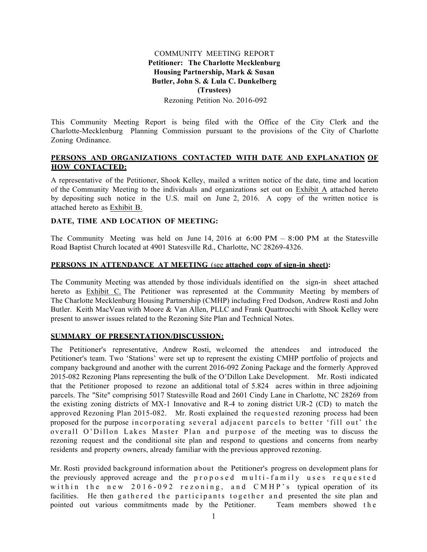## COMMUNITY MEETING REPORT **Petitioner: The Charlotte Mecklenburg Housing Partnership, Mark & Susan Butler, John S. & Lula C. Dunkelberg (Trustees)**

Rezoning Petition No. 2016-092

This Community Meeting Report is being filed with the Office of the City Clerk and the Charlotte-Mecklenburg Planning Commission pursuant to the provisions of the City of Charlotte Zoning Ordinance.

### **PERSONS AND ORGANIZATIONS CONTACTED WITH DATE AND EXPLANATION OF HOW CONTACTED:**

A representative of the Petitioner, Shook Kelley, mailed a written notice of the date, time and location of the Community Meeting to the individuals and organizations set out on Exhibit A attached hereto by depositing such notice in the U.S. mail on June 2, 2016. A copy of the written notice is attached hereto as Exhibit B.

#### **DATE, TIME AND LOCATION OF MEETING:**

The Community Meeting was held on June 14, 2016 at  $6:00 \text{ PM} - 8:00 \text{ PM}$  at the Statesville Road Baptist Church located at 4901 Statesville Rd., Charlotte, NC 28269-4326.

### **PERSONS IN ATTENDANCE AT MEETING** (see **attached copy of sign-in sheet):**

The Community Meeting was attended by those individuals identified on the sign-in sheet attached hereto as Exhibit C. The Petitioner was represented at the Community Meeting by members of The Charlotte Mecklenburg Housing Partnership (CMHP) including Fred Dodson, Andrew Rosti and John Butler. Keith MacVean with Moore & Van Allen, PLLC and Frank Quattrocchi with Shook Kelley were present to answer issues related to the Rezoning Site Plan and Technical Notes.

### **SUMMARY OF PRESENTATION/DISCUSSION:**

The Petitioner's representative, Andrew Rosti, welcomed the attendees and introduced the Petitioner's team. Two 'Stations' were set up to represent the existing CMHP portfolio of projects and company background and another with the current 2016-092 Zoning Package and the formerly Approved 2015-082 Rezoning Plans representing the bulk of the O'Dillon Lake Development. Mr. Rosti indicated that the Petitioner proposed to rezone an additional total of 5.824 acres within in three adjoining parcels. The "Site" comprising 5017 Statesville Road and 2601 Cindy Lane in Charlotte, NC 28269 from the existing zoning districts of MX-1 Innovative and R-4 to zoning district UR-2 (CD) to match the approved Rezoning Plan 2015-082. Mr. Rosti explained the requested rezoning process had been proposed for the purpose incorporating several adjacent parcels to better 'fill out' the overall O'Dillon Lakes Master Plan and purpose of the meeting was to discuss the rezoning request and the conditional site plan and respond to questions and concerns from nearby residents and property owners, already familiar with the previous approved rezoning.

Mr. Rosti provided background information about the Petitioner's progress on development plans for the previously approved acreage and the proposed multi - family uses requested within the new 2016-092 rezoning, and CMHP's typical operation of its facilities. He then gathered the participants together and presented the site plan and pointed out various commitments made by the Petitioner. Team members showed the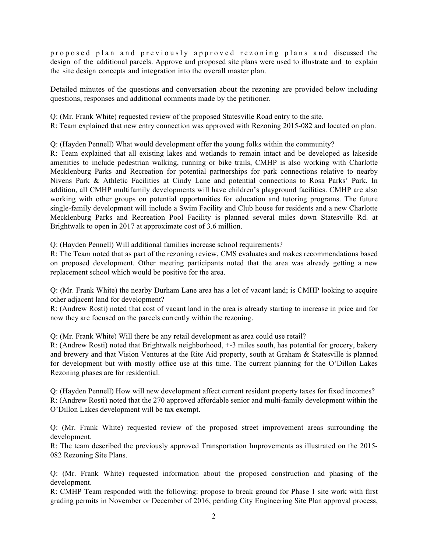prop osed plan and previously approved rezoning plans and discussed the design of the additional parcels. Approve and proposed site plans were used to illustrate and to explain the site design concepts and integration into the overall master plan.

Detailed minutes of the questions and conversation about the rezoning are provided below including questions, responses and additional comments made by the petitioner.

Q: (Mr. Frank White) requested review of the proposed Statesville Road entry to the site.

R: Team explained that new entry connection was approved with Rezoning 2015-082 and located on plan.

Q: (Hayden Pennell) What would development offer the young folks within the community?

R: Team explained that all existing lakes and wetlands to remain intact and be developed as lakeside amenities to include pedestrian walking, running or bike trails, CMHP is also working with Charlotte Mecklenburg Parks and Recreation for potential partnerships for park connections relative to nearby Nivens Park & Athletic Facilities at Cindy Lane and potential connections to Rosa Parks' Park. In addition, all CMHP multifamily developments will have children's playground facilities. CMHP are also working with other groups on potential opportunities for education and tutoring programs. The future single-family development will include a Swim Facility and Club house for residents and a new Charlotte Mecklenburg Parks and Recreation Pool Facility is planned several miles down Statesville Rd. at Brightwalk to open in 2017 at approximate cost of 3.6 million.

Q: (Hayden Pennell) Will additional families increase school requirements?

R: The Team noted that as part of the rezoning review, CMS evaluates and makes recommendations based on proposed development. Other meeting participants noted that the area was already getting a new replacement school which would be positive for the area.

Q: (Mr. Frank White) the nearby Durham Lane area has a lot of vacant land; is CMHP looking to acquire other adjacent land for development?

R: (Andrew Rosti) noted that cost of vacant land in the area is already starting to increase in price and for now they are focused on the parcels currently within the rezoning.

Q: (Mr. Frank White) Will there be any retail development as area could use retail?

R: (Andrew Rosti) noted that Brightwalk neighborhood, +-3 miles south, has potential for grocery, bakery and brewery and that Vision Ventures at the Rite Aid property, south at Graham & Statesville is planned for development but with mostly office use at this time. The current planning for the O'Dillon Lakes Rezoning phases are for residential.

Q: (Hayden Pennell) How will new development affect current resident property taxes for fixed incomes? R: (Andrew Rosti) noted that the 270 approved affordable senior and multi-family development within the O'Dillon Lakes development will be tax exempt.

Q: (Mr. Frank White) requested review of the proposed street improvement areas surrounding the development.

R: The team described the previously approved Transportation Improvements as illustrated on the 2015- 082 Rezoning Site Plans.

Q: (Mr. Frank White) requested information about the proposed construction and phasing of the development.

R: CMHP Team responded with the following: propose to break ground for Phase 1 site work with first grading permits in November or December of 2016, pending City Engineering Site Plan approval process,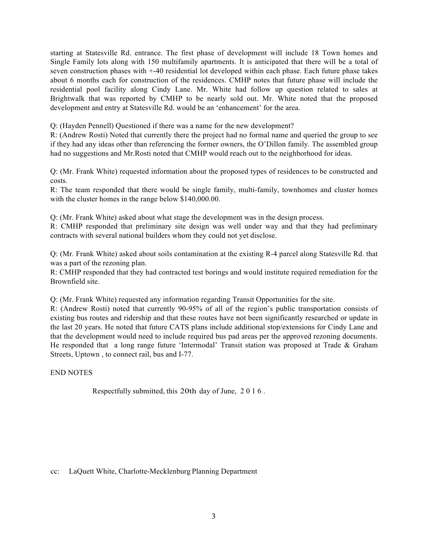starting at Statesville Rd. entrance. The first phase of development will include 18 Town homes and Single Family lots along with 150 multifamily apartments. It is anticipated that there will be a total of seven construction phases with +-40 residential lot developed within each phase. Each future phase takes about 6 months each for construction of the residences. CMHP notes that future phase will include the residential pool facility along Cindy Lane. Mr. White had follow up question related to sales at Brightwalk that was reported by CMHP to be nearly sold out. Mr. White noted that the proposed development and entry at Statesville Rd. would be an 'enhancement' for the area.

Q: (Hayden Pennell) Questioned if there was a name for the new development?

R: (Andrew Rosti) Noted that currently there the project had no formal name and queried the group to see if they had any ideas other than referencing the former owners, the O'Dillon family. The assembled group had no suggestions and Mr.Rosti noted that CMHP would reach out to the neighborhood for ideas.

Q: (Mr. Frank White) requested information about the proposed types of residences to be constructed and costs.

R: The team responded that there would be single family, multi-family, townhomes and cluster homes with the cluster homes in the range below \$140,000.00.

Q: (Mr. Frank White) asked about what stage the development was in the design process.

R: CMHP responded that preliminary site design was well under way and that they had preliminary contracts with several national builders whom they could not yet disclose.

Q: (Mr. Frank White) asked about soils contamination at the existing R-4 parcel along Statesville Rd. that was a part of the rezoning plan.

R: CMHP responded that they had contracted test borings and would institute required remediation for the Brownfield site.

Q: (Mr. Frank White) requested any information regarding Transit Opportunities for the site.

R: (Andrew Rosti) noted that currently 90-95% of all of the region's public transportation consists of existing bus routes and ridership and that these routes have not been significantly researched or update in the last 20 years. He noted that future CATS plans include additional stop/extensions for Cindy Lane and that the development would need to include required bus pad areas per the approved rezoning documents. He responded that a long range future 'Intermodal' Transit station was proposed at Trade & Graham Streets, Uptown , to connect rail, bus and I-77.

END NOTES

Respectfully submitted, this 20th day of June, 2016.

cc: LaQuett White, Charlotte-Mecklenburg Planning Department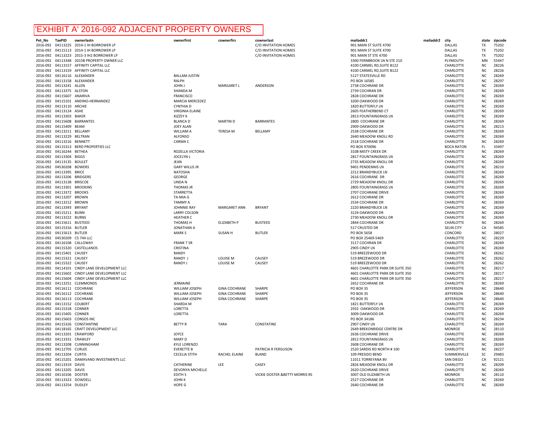# 'EXHIBIT A' 2016-092 ADJACENT PROPERTY OWNERS

| Pet_No   | <b>TaxPID</b>              | ownerlastn                                   | ownerfirst             | cownerfirs           | cownerlast                     | mailaddr1                        | mailaddr2 | city              | state          | zipcode |
|----------|----------------------------|----------------------------------------------|------------------------|----------------------|--------------------------------|----------------------------------|-----------|-------------------|----------------|---------|
| 2016-092 |                            | 04113225 2014-1 IH BORROWER LP               |                        |                      | C/O INVITATION HOMES           | 901 MAIN ST SUITE 4700           |           | <b>DALLAS</b>     | <b>TX</b>      | 75202   |
| 2016-092 |                            | 04115113 2014-1 IH BORROWER LP               |                        |                      | C/O INVITATION HOMES           | 901 MAIN ST SUITE 4700           |           | <b>DALLAS</b>     | <b>TX</b>      | 75202   |
| 2016-092 |                            | 04113223 2015-3 IH2 BORROWER LP              |                        |                      | C/O INVITATION HOMES           | 901 MAIN ST STE 4700             |           | <b>DALLAS</b>     | <b>TX</b>      | 75202   |
| 2016-092 |                            | 04113348 2015B PROPERTY OWNER LLC            |                        |                      |                                | 3300 FERNBROOK LN N STE 210      |           | PLYMOUTH          | MN             | 55447   |
| 2016-092 |                            | 04113157 AFFINITY CAPITAL LLC                |                        |                      |                                | 4100 CARMEL RD, SUITE B122       |           | CHARLOTTE         | N <sub>C</sub> | 28226   |
|          |                            |                                              |                        |                      |                                |                                  |           |                   |                |         |
| 2016-092 |                            | 04113159 AFFINITY CAPITAL LLC                |                        |                      |                                | 4100 CARMEL RD, SUITE B122       |           | CHARLOTTE         | <b>NC</b>      | 28226   |
| 2016-092 |                            | 04116116 ALEXANDER                           | <b>BALLAM JUSTIN</b>   |                      |                                | 5127 STATESVILLE RD              |           | CHARLOTTE         | <b>NC</b>      | 28269   |
|          |                            | 2016-092 04113158 ALEXANDER                  | <b>RALPH</b>           |                      |                                | PO BOX 16585                     |           | CHARLOTTE         | <b>NC</b>      | 28297   |
| 2016-092 | 04113241 ALLEN             |                                              | <b>JOHN J</b>          | <b>MARGARET L</b>    | ANDERSON                       | 2738 COCHRANE DR                 |           | CHARLOTTE         | <b>NC</b>      | 28269   |
| 2016-092 | 04113375 ALSTON            |                                              | <b>SHANDA M</b>        |                      |                                | 2739 COCHRAN DR                  |           | CHARLOTTE         | <b>NC</b>      | 28269   |
|          | 2016-092 04115607 ANARIVA  |                                              | <b>FRANCISCO</b>       |                      |                                | 2828 COCHRANE DR                 |           | CHARLOTTE         | <b>NC</b>      | 28269   |
| 2016-092 |                            | 04115101 ANDINO-HERNANDEZ                    | <b>MARCIA MERCEDEZ</b> |                      |                                | 3200 OAKWOOD DR                  |           | CHARLOTTE         | <b>NC</b>      | 28269   |
| 2016-092 | 04113110 ARCHIE            |                                              | <b>CYNTHIAD</b>        |                      |                                | 1820 BUTTERFLY LN                |           | CHARLOTTE         | <b>NC</b>      | 28269   |
| 2016-092 | 04113124 ASHE              |                                              | <b>VIRGINIA ELAINE</b> |                      |                                | 2605 FEATHERBEND CT              |           | CHARLOTTE         | NC.            | 28269   |
|          |                            |                                              |                        |                      |                                |                                  |           |                   |                |         |
| 2016-092 | 04113303 BAKER             |                                              | KIZZEY K               |                      |                                | 2813 FOUNTAINGRASS LN            |           | CHARLOTTE         | <b>NC</b>      | 28269   |
| 2016-092 | 04115608                   | <b>BARRANTES</b>                             | <b>BLANCA D</b>        | <b>MARTIN D</b>      | <b>BARRANTES</b>               | 2800 COCHRANE DR                 |           | CHARLOTTE         | <b>NC</b>      | 28269   |
| 2016-092 | 04115409 BEAM              |                                              | <b>JOFY ALAN</b>       |                      |                                | 2909 OAKWOOD DR                  |           | CHARLOTTE         | N <sub>C</sub> | 28213   |
| 2016-092 | 04113211 BELLAMY           |                                              | <b>WILLIAM A</b>       | <b>TERESA M</b>      | BELLAMY                        | 2538 COCHRANE DR                 |           | CHARLOTTE         | <b>NC</b>      | 28269   |
| 2016-092 | 04113229 BELTRAN           |                                              | <b>ALFONSO</b>         |                      |                                | 2640 MEADOW KNOLL RD             |           | CHARLOTTE         | <b>NC</b>      | 28269   |
| 2016-092 | 04113216 BENNETT           |                                              | <b>CARMA C</b>         |                      |                                | 2518 COCHRANE DR                 |           | CHARLOTTE         | <b>NC</b>      | 28269   |
| 2016-092 |                            | 04115313 BERD PROPERTIES LLC                 |                        |                      |                                | PO BOX 970096                    |           | <b>BOCA RATON</b> | <b>FL</b>      | 33497   |
|          | 2016-092 04116244 BETHEA   |                                              | ROZELLA VICTORIA       |                      |                                | 3108 MISTY CREEK DR              |           | CHARLOTTE         | <b>NC</b>      | 28269   |
|          | 2016-092 04113304 BIGGS    |                                              | <b>JOCELYN L</b>       |                      |                                | 2817 FOUNTAINGRASS LN            |           | CHARLOTTE         | N <sub>C</sub> | 28269   |
|          |                            |                                              |                        |                      |                                |                                  |           |                   | <b>NC</b>      | 28269   |
| 2016-092 | 04113135 BOULET            |                                              | JEAN                   |                      |                                | 2735 MEADOW KNOLL DR             |           | CHARLOTTE         |                |         |
| 2016-092 | 04530208 BOWERS            |                                              | <b>GARY WILLIS JR</b>  |                      |                                | 9401 PENDENNIS LN                |           | CHARLOTTE         | <b>NC</b>      | 28210   |
| 2016-092 | 04113395 BRICE             |                                              | NATOSHA                |                      |                                | 2212 BRANDYBUCK LN               |           | CHARLOTTE         | <b>NC</b>      | 28269   |
| 2016-092 | 04113206                   | <b>BRIDGERS</b>                              | <b>GEORGE</b>          |                      |                                | 2616 COCHRANE DR                 |           | CHARLOTTE         | <b>NC</b>      | 28269   |
| 2016-092 | 04113138 BRISCOE           |                                              | LINDA N                |                      |                                | 2729 MEADOW KNOLL DR             |           | CHARLOTTE         | <b>NC</b>      | 28269   |
|          | 2016-092 04113301 BROOKINS |                                              | <b>THOMAS JR</b>       |                      |                                | 2805 FOUNTAINGRASS LN            |           | CHARLOTTE         | <b>NC</b>      | 28269   |
| 2016-092 | 04113372 BROOKS            |                                              | STARRETTA              |                      |                                | 2707 COCHRANE DRIVE              |           | CHARLOTTE         | <b>NC</b>      | 28269   |
| 2016-092 | 04113207 BROWN             |                                              | TA-MIA G               |                      |                                | 2612 COCHRANE DR                 |           | CHARLOTTE         | <b>NC</b>      | 28269   |
| 2016-092 | 04113212 BROWN             |                                              | <b>TAMMY A</b>         |                      |                                | 2534 COCHRANE DR                 |           | CHARLOTTE         | ΝC             | 28269   |
| 2016-092 | 04113393 BRYANT            |                                              | JOHNNIE RAY            | MARGARET ANN         | <b>BRYANT</b>                  | 2220 BRANDYBUCK LN               |           | CHARLOTTE         | <b>NC</b>      | 28269   |
|          | 2016-092 04115211 BUNN     |                                              | <b>LARRY COLSON</b>    |                      |                                | 3124 OAKWOOD DR                  |           | CHARLOTTE         | <b>NC</b>      | 28269   |
|          |                            |                                              |                        |                      |                                |                                  |           |                   |                |         |
| 2016-092 | 04113222 BURNS             |                                              | <b>HEATHER C</b>       |                      |                                | 2730 MEADOW KNOLL DR             |           | CHARLOTTE         | <b>NC</b>      | 28269   |
| 2016-092 | 04115611 BUSTEED           |                                              | THOMAS H               | <b>ELIZABETH P</b>   | <b>BUSTEED</b>                 | 2844 COCHRANE DR                 |           | CHARLOTTE         | <b>NC</b>      | 28269   |
| 2016-092 | 04115316 BUTLER            |                                              | <b>JONATHAN A</b>      |                      |                                | 517 CRUSTED DR                   |           | <b>SELIN CITY</b> | CA             | 94585   |
| 2016-092 | 04115613 BUTLER            |                                              | MARK S                 | SUSAN H              | <b>BUTLER</b>                  | PO BOX 5658                      |           | CONCORD           | $NC$           | 28027   |
| 2016-092 | 04530209 C5 744 LLC        |                                              |                        |                      |                                | PO BOX 25469-5469                |           | CHARLOTTE         | <b>NC</b>      | 28229   |
| 2016-092 | 04116108 CALLOWAY          |                                              | <b>FRANK T SR</b>      |                      |                                | 3117 COCHRAN DR                  |           | CHARLOTTE         | <b>NC</b>      | 28269   |
| 2016-092 |                            | 04115320 CASTELLANOS                         | CRISTINA               |                      |                                | 2905 CINDY LN                    |           | CHARLOTTE         | <b>NC</b>      | 28269   |
| 2016-092 | 04115401 CAUSEY            |                                              | RANDY                  |                      |                                | 519 BREEZEWOOD DR                |           | CHARLOTTE         | N <sub>C</sub> | 28262   |
| 2016-092 | 04115321 CAUSEY            |                                              | RANDY J                | LOUISE M             | CAUSEY                         | 519 BREZEWOOD DR                 |           | CHARLOTTE         | <b>NC</b>      | 28262   |
|          |                            |                                              |                        |                      |                                |                                  |           |                   |                |         |
| 2016-092 | 04115322 CAUSEY            |                                              | <b>RANDY J</b>         | LOUISE M             | CAUSEY                         | 519 BREEZEWOOD DR                |           | CHARLOTTE         | <b>NC</b>      | 28262   |
|          |                            | 2016-092 04114101 CINDY LANE DEVELOPMENT LLC |                        |                      |                                | 4601 CHARLOTTE PARK DR SUITE 350 |           | CHARLOTTE         | <b>NC</b>      | 28217   |
| 2016-092 |                            | 04115602 CINDY LANE DEVELOPMENT LLC          |                        |                      |                                | 4601 CHARLOTTE PARK DR SUITE 350 |           | CHARLOTTE         | <b>NC</b>      | 28217   |
| 2016-092 |                            | 04115604 CINDY LANE DEVELOPMENT LLC          |                        |                      |                                | 4601 CHARLOTTE PARK DR SUITE 350 |           | CHARLOTTE         | <b>NC</b>      | 28217   |
| 2016-092 |                            | 04113251 CLEMMONDS                           | JERMAINE               |                      |                                | 2652 COCHRANE DR                 |           | CHARLOTTE         | <b>NC</b>      | 28269   |
| 2016-092 |                            | 04116111 COCHRANE                            | WILLIAM JOSEPH         | <b>GINA COCHRANE</b> | <b>SHARPF</b>                  | PO BOX 35                        |           | <b>JEFFERSON</b>  | <b>NC</b>      | 28640   |
| 2016-092 |                            | 04116112 COCHRANE                            | WILLIAM JOSEPH         | <b>GINA COCHRANE</b> | <b>SHARPF</b>                  | <b>PO BOX 35</b>                 |           | <b>JEFFERSON</b>  | NC             | 28640   |
| 2016-092 |                            | 04116113 COCHRANE                            | WILLIAM JOSEPH         | <b>GINA COCHRANE</b> | SHARPE                         | <b>PO BOX 35</b>                 |           | <b>JEFFERSON</b>  | <b>NC</b>      | 28640   |
| 2016-092 | 04113152 COLBERT           |                                              | SHARDA M               |                      |                                | 1821 BUTTERFLY LN                |           | CHARLOTTE         | <b>NC</b>      | 28269   |
| 2016-092 | 04115318 CONNER            |                                              | LORETTA                |                      |                                | 2932 OAKWOOD DR                  |           | CHARLOTTE         | N <sub>C</sub> | 28269   |
| 2016-092 | 04115405 CONNER            |                                              |                        |                      |                                | 3009 OAKWOOD DR                  |           | CHARLOTTE         | <b>NC</b>      | 28269   |
|          |                            |                                              | LORETTA                |                      |                                |                                  |           |                   |                |         |
| 2016-092 |                            | 04115603 CONSOS INC                          |                        |                      |                                | PO BOX 34186                     |           | CHARLOTTE         | <b>NC</b>      | 28234   |
| 2016-092 |                            | 04115326 CONSTANTINE                         | <b>BETTY R</b>         | <b>TARA</b>          | CONSTATINE                     | 2907 CINDY LN                    |           | CHARLOTTE         | <b>NC</b>      | 28269   |
|          |                            | 2016-092 04118165 CRAFT DEVELOPMENT LLC      |                        |                      |                                | 2649 BREKONRIDGE CENTRE DR       |           | <b>MONROE</b>     | <b>NC</b>      | 28110   |
| 2016-092 |                            | 04113201 CRAWFORD                            | JOYCE                  |                      |                                | 2636 COCHRANE DRIVE              |           | CHARLOTTE         | <b>NC</b>      | 28269   |
| 2016-092 | 04113331 CRAWLEY           |                                              | MARY D                 |                      |                                | 2812 FOUNTAINGRASS LN            |           | CHARLOTTE         | N <sub>C</sub> | 28269   |
| 2016-092 |                            | 04113208 CUNNINGHAM                          | <b>KYLE LORENZO</b>    |                      |                                | 2608 COCHRANE DR                 |           | CHARLOTTE         | <b>NC</b>      | 28269   |
| 2016-092 | 04112705 CURLEE            |                                              | <b>EVERETTE B</b>      |                      | PATRICIA R FERGUSON            | 2520 SARDIS RD NORTH #100        |           | CHARLOTTE         | <b>NC</b>      | 28227   |
| 2016-092 | 04113204 CURTIS            |                                              | <b>CECELIA STITH</b>   | RACHEL ELAINE        | <b>BLAND</b>                   | 109 PRESIDO BEND                 |           | SUMMERVILLE       | <b>SC</b>      | 29483   |
|          |                            | 2016-092 04115201 DAMAVAND INVESTMENTS LLC   |                        |                      |                                | 11011 TORREYANA BV               |           | SAN DIEGO         | CA             | 92121   |
|          |                            |                                              |                        |                      |                                |                                  |           |                   |                |         |
| 2016-092 | 04113319 DAVIS             |                                              | CATHERINE              | LEE                  | CASEY                          | 2826 MEADOW KNOLL DR             |           | CHARLOTTE         | <b>NC</b>      | 28209   |
|          | 2016-092 04113205 DAVIS    |                                              | DEVONYA MICHELLE       |                      |                                | 2620 COCHRANE DRIVE              |           | CHARLOTTE         | N <sub>C</sub> | 28269   |
|          | 2016-092 04110106 DOSTER   |                                              | <b>EDITH S</b>         |                      | VICKIE DOSTER &BETTY MORRIS RS | 3007 OLD ELIZABETH LN            |           | <b>MONROF</b>     | <b>NC</b>      | 28110   |
|          | 2016-092 04113323 DOWDELL  |                                              | <b>JOHN K</b>          |                      |                                | 2527 COCHRANE DR                 |           | CHARLOTTE         | <b>NC</b>      | 28269   |
|          | 2016-092 04113254 DUDLEY   |                                              | HOPE G                 |                      |                                | 2640 COCHRANE DR                 |           | <b>CHARLOTTF</b>  | N <sub>C</sub> | 28269   |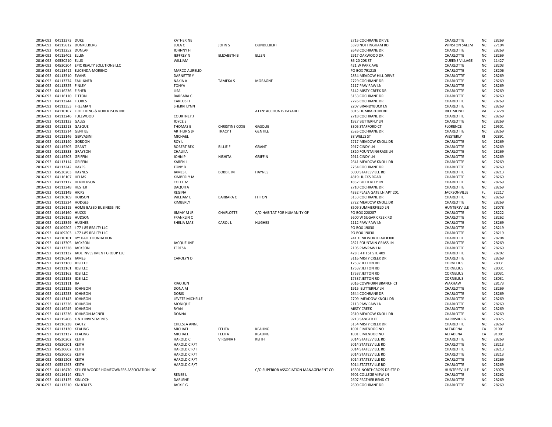|          | 2016-092 04113373 DUKE                                   |                                                           | KATHERINE                       |                       |                                        | 2715 COCHRANE DRIVE                     | CHARLOTTE                     | <b>NC</b>                   | 28269          |
|----------|----------------------------------------------------------|-----------------------------------------------------------|---------------------------------|-----------------------|----------------------------------------|-----------------------------------------|-------------------------------|-----------------------------|----------------|
|          |                                                          | 2016-092 04115612 DUNKELBERG                              | LULA C                          | <b>JOHN S</b>         | DUNDELBERT                             | 3378 NOTTINGHAM RD                      | <b>WINSTON SALEM</b>          | <b>NC</b>                   | 27104          |
| 2016-092 | 04113252 DUNLAP                                          |                                                           | JOHNNY H                        |                       |                                        | 2648 COCHRANE DR                        | CHARLOTTE                     | NC                          | 28269          |
|          | 2016-092 04115402 ELLEN                                  |                                                           | <b>JEFFREY N</b>                | <b>ELIZABETH B</b>    | ELLEN                                  | 2917 OAKWOOD DR                         | CHARLOTTE                     | N <sub>C</sub>              | 28269          |
|          | 2016-092 04530210 ELLIS                                  |                                                           | WILLIAM                         |                       |                                        | 86-20 208 ST                            | QUEENS VILLAGE                | <b>NY</b>                   | 11427          |
|          |                                                          | 2016-092 04530204 EPIC REALTY SOLUTIONS LLC               |                                 |                       |                                        | 421 W PARK AVE                          | CHARLOTTE                     | <b>NC</b>                   | 28203          |
|          |                                                          | 2016-092 04115412 EUCENDA-MORENO                          | MARCO AURELIO                   |                       |                                        | PO BOX 791215                           | CHARLOTTE                     | N <sub>C</sub>              | 28206          |
|          | 2016-092 04113310 EVANS                                  |                                                           | <b>DARNETTE Y</b>               |                       |                                        | 2834 MEADOW HILL DRIVE                  | <b>CHARLOTTE</b>              | N <sub>C</sub>              | 28269          |
|          | 2016-092 04113374 FAULKNER                               |                                                           | <b>NAKIA A</b>                  | <b>TAMEKA S</b>       | <b>MORAGNE</b>                         | 2729 COCHRANE DR                        | CHARLOTTE                     | NC.                         | 28269          |
|          | 2016-092 04113325 FINLEY                                 |                                                           | <b>TONYA</b>                    |                       |                                        | 2117 PAW PAW LN                         | CHARLOTTE                     | <b>NC</b>                   | 28269          |
|          | 2016-092 04116236 FISHER                                 |                                                           | LISA                            |                       |                                        | 3142 MISTY CREEK DR                     | CHARLOTTE                     | <b>NC</b>                   | 28269          |
|          | 2016-092 04116110 FITTON                                 |                                                           | <b>BARBARA C</b>                |                       |                                        | 3133 COCHRANE DR                        | CHARLOTTE                     | N <sub>C</sub>              | 28269          |
|          | 2016-092 04113244 FLORES                                 |                                                           | <b>CARLOS H</b>                 |                       |                                        | 2726 COCHRANE DR                        | CHARLOTTE                     | <b>NC</b>                   | 28269          |
|          | 2016-092 04113353 FREEMAN                                |                                                           | <b>SHERRI LYNN</b>              |                       |                                        | 2207 BRANDYBUCK LN                      | CHARLOTTE                     | N <sub>C</sub>              | 28269          |
|          |                                                          | 2016-092 04110107 FROEHLING & ROBERTSON INC               |                                 |                       | ATTN: ACCOUNTS PAYABLE                 | 3015 DUMBARTON RD                       | <b>RICHMOND</b>               | VA                          | 23228          |
| 2016-092 |                                                          | 04113246 FULLWOOD                                         | <b>COURTNEY J</b>               |                       |                                        | 2718 COCHRANE DR                        | CHARLOTTE                     | <b>NC</b>                   | 28269          |
|          | 2016-092 04113133 GALES                                  |                                                           | <b>JOYCE S</b>                  |                       |                                        | 1927 BUTTERFLY LN                       | CHARLOTTE                     | <b>NC</b>                   | 28269          |
|          | 2016-092 04113213 GASQUE                                 |                                                           | THOMAS E                        | <b>CHRISTINE COXE</b> | GASQUE                                 | 3305 STAFFORD CT                        | <b>FLORENCE</b>               | SC                          | 29501          |
|          | 2016-092 04113214 GENTILE                                |                                                           | <b>ARTHUR S JR</b>              | <b>TRACY T</b>        | <b>GENTILE</b>                         | 2526 COCHRANE DR                        | CHARLOTTE                     | N <sub>C</sub>              | 28269          |
|          | 2016-092 04113146 GERVASINI                              |                                                           | MICHAEL                         |                       |                                        | 38 WELLS ST                             | WESTERLY                      | <b>RI</b>                   | 02891          |
|          | 2016-092 04113140 GORDON<br>2016-092 04115305            |                                                           | ROY L<br><b>ROBERT REX</b>      | <b>BILLIE F</b>       | GRANT                                  | 2717 MEADOW KNOLL DR<br>2917 CINDY LN   | CHARLOTTE<br>CHARLOTTE        | <b>NC</b><br>NC.            | 28269<br>28269 |
|          |                                                          | GRANT                                                     |                                 |                       |                                        |                                         |                               |                             |                |
| 2016-092 | 04113333 GRAYSON                                         |                                                           | CHALIKA                         |                       |                                        | 2820 FOUNTAINGRASS LN<br>2911 CINDY LN  | CHARLOTTE                     | NC<br>N <sub>C</sub>        | 28269<br>28269 |
|          | 2016-092 04115303 GRIFFIN<br>2016-092 04113114 GRIFFIN   |                                                           | JOHN P<br><b>KAREN L</b>        | <b>NISHITA</b>        | <b>GRIFFIN</b>                         | 2641 MEADOW KNOLL DR                    | CHARLOTTE<br>CHARLOTTE        | <b>NC</b>                   | 28269          |
|          |                                                          |                                                           |                                 |                       |                                        |                                         |                               |                             |                |
|          | 2016-092 04113242 HAYES<br>2016-092 04530203 HAYNES      |                                                           | <b>TONY B</b><br><b>JAMES E</b> | <b>BOBBIE M</b>       | <b>HAYNES</b>                          | 2734 COCHRANE DR<br>5000 STATESVILLE RD | CHARLOTTE<br>CHARLOTTE        | N <sub>C</sub><br><b>NC</b> | 28269<br>28213 |
|          |                                                          |                                                           |                                 |                       |                                        |                                         |                               |                             |                |
|          | 2016-092 04116107 HELMS                                  |                                                           | <b>KIMBERLY M</b>               |                       |                                        | 4819 HUCKS ROAD                         | CHARLOTTE                     | N <sub>C</sub>              | 28269          |
|          |                                                          | 2016-092 04113112 HENDERSON                               | <b>COLEE M</b>                  |                       |                                        | 1832 BUTTERFLY LN                       | CHARLOTTE                     | NC.                         | 28269          |
|          | 2016-092 04113248                                        | <b>HESTER</b>                                             | <b>DAQUITA</b>                  |                       |                                        | 2710 COCHRANE DR                        | CHARLOTTE                     | <b>NC</b>                   | 28269          |
|          | 2016-092 04113149 HICKS                                  |                                                           | REGINA                          | <b>BARRARAC</b>       | <b>FITTON</b>                          | 4332 PLAZA GATE LN APT 201              | JACKSONVILLE                  | FL.<br><b>NC</b>            | 32217<br>28269 |
|          | 2016-092 04116109 HOBSON                                 |                                                           | WILLIAM L                       |                       |                                        | 3133 COCHRANE DR                        | CHARLOTTE                     |                             |                |
|          | 2016-092 04113224 HODGES                                 |                                                           | KIMBERLY                        |                       |                                        | 2722 MEADOW KNOLL DR                    | CHARLOTTE                     | NC<br>N <sub>C</sub>        | 28269          |
|          | 2016-092 04116160 HUCKS                                  | 2016-092 04116115 HOME BASED BUSINESS INC                 | <b>JIMMY M JR</b>               | CHARLOTTE             | C/O HABITAT FOR HUMANITY OF            | 8509 SUMMERFIELD LN<br>PO BOX 220287    | HUNTERSVILLE<br>CHARLOTTE     | N <sub>C</sub>              | 28078<br>28222 |
|          |                                                          |                                                           |                                 |                       |                                        |                                         |                               |                             |                |
| 2016-092 | 04116155 HUDSON                                          |                                                           | <b>FRANKLIN C</b>               |                       |                                        | 5600 W SUGAR CREEK RD                   | CHARLOTTE                     | NC                          | 28262          |
|          | 2016-092 04113349 HUGHES                                 | 2016-092 04109202 I-77 I-85 REALTY LLC                    | SHELIA MAE                      | CAROL L               | <b>HUGHES</b>                          | 2112 PAW PAW LN<br>PO BOX 19030         | CHARLOTTE<br>CHARLOTTE        | <b>NC</b><br>N <sub>C</sub> | 28269<br>28219 |
|          |                                                          |                                                           |                                 |                       |                                        | PO BOX 19030                            |                               | N <sub>C</sub>              | 28219          |
|          |                                                          | 2016-092 04109203 I-77 I-85 REALTY LLC                    |                                 |                       |                                        |                                         | CHARLOTTE                     |                             |                |
|          |                                                          | 2016-092 04110101 IVY HALL FOUNDATION                     |                                 |                       |                                        | 741 KENILWORTH AV #300                  | CHARLOTTE                     | <b>NC</b>                   | 28204          |
|          | 2016-092 04113305 JACKSON                                |                                                           | <b>JACQUELINE</b>               |                       |                                        | 2821 FOUNTAIN GRASS LN                  | CHARLOTTE                     | <b>NC</b><br>N <sub>C</sub> | 28269<br>28269 |
|          | 2016-092 04113328 JACKSON                                |                                                           | TERESA                          |                       |                                        | 2105 PAWPAW LN                          | CHARLOTTE                     |                             | 28202          |
| 2016-092 |                                                          | 04113132 JADE INVESTMENT GROUP LLC                        |                                 |                       |                                        | 428 E 4TH ST STE 409                    | CHARLOTTE                     | <b>NC</b><br>N <sub>C</sub> |                |
|          | 2016-092 04116242 JAMES<br>2016-092 04113160 JDSI LLC    |                                                           | <b>CAROLYN D</b>                |                       |                                        | 3116 MISTY CREEK DR<br>17537 JETTON RD  | CHARLOTTE<br>CORNELIUS        | N <sub>C</sub>              | 28269<br>28031 |
|          |                                                          |                                                           |                                 |                       |                                        |                                         |                               | N <sub>C</sub>              |                |
|          | 2016-092 04113161 JDSI LLC                               |                                                           |                                 |                       |                                        | 17537 JETTON RD                         | CORNELIUS<br><b>CORNELIUS</b> | <b>NC</b>                   | 28031<br>28031 |
|          | 2016-092 04113162 JDSI LLC<br>2016-092 04113193 JDSI LLC |                                                           |                                 |                       |                                        | 17537 JETTON RD<br>17537 JETTON RD      | <b>CORNELIUS</b>              | <b>NC</b>                   | 28031          |
|          |                                                          |                                                           | <b>XIAO JUN</b>                 |                       |                                        |                                         |                               |                             | 28173          |
|          | 2016-092 04113111 JIA                                    |                                                           |                                 |                       |                                        | 3016 COWHORN BRANCH CT                  | WAXHAW                        | <b>NC</b>                   |                |
| 2016-092 | 04113129 JOHNSON<br>2016-092 04113253 JOHNSON            |                                                           | DONA M<br><b>DORIS</b>          |                       |                                        | 1915 BUTTERFLY LN<br>2644 COCHRANE DR   | CHARLOTTE<br>CHARLOTTE        | <b>NC</b><br>N <sub>C</sub> | 28269<br>28269 |
|          | 2016-092 04113143 JOHNSON                                |                                                           | LEVETE MICHELLE                 |                       |                                        | 2709 MEADOW KNOLL DR                    | CHARLOTTE                     | <b>NC</b>                   | 28269          |
|          | 2016-092 04113326 JOHNSON                                |                                                           | MONIQUE                         |                       |                                        | 2113 PAW PAW LN                         | CHARLOTTE                     | <b>NC</b>                   | 28269          |
|          | 2016-092 04116245 JOHNSON                                |                                                           | RYAN                            |                       |                                        | <b>MISTY CREEK</b>                      | CHARLOTTE                     | N <sub>C</sub>              | 28269          |
|          |                                                          | 2016-092 04113236 JOHNSON-MCNEIL                          | <b>DONNA</b>                    |                       |                                        | 2610 MEADOW KNOLL DR                    | CHARLOTTE                     | N <sub>C</sub>              | 28269          |
|          |                                                          | 2016-092 04115406 K & K INVESTMENTS                       |                                 |                       |                                        | 9213 SANGER CT                          | <b>HARRISBURG</b>             | NC.                         | 28075          |
|          | 2016-092 04116238                                        | KAUTZ                                                     | CHELSEA ANNE                    |                       |                                        | 3134 MISTY CREEK DR                     | CHARLOTTE                     | <b>NC</b>                   | 28269          |
|          | 2016-092 04113130 KEALING                                |                                                           | MICHAEL                         | <b>FELITA</b>         | KEALING                                | 1001 E MENDOCINO                        | ALTADENA                      | CA                          | 91001          |
|          | 2016-092 04113137 KEALING                                |                                                           | MICHAEL                         | <b>FELITA</b>         | <b>KEALING</b>                         | 1001 E MENDOCINO                        |                               | CA                          | 91001          |
|          | 2016-092 04530202 KEITH                                  |                                                           | <b>HAROLD C</b>                 | <b>VIRGINIA F</b>     | KEITH                                  | 5014 STATESVILLE RD                     | ALTADENA<br>CHARLOTTE         | <b>NC</b>                   | 28269          |
|          | 2016-092 04530201 KEITH                                  |                                                           | <b>HAROLD C R/T</b>             |                       |                                        | 5014 STATESVILLE RD                     | CHARLOTTE                     | N <sub>C</sub>              | 28213          |
|          | 2016-092 04530602                                        | KEITH                                                     | HAROLD C R/T                    |                       |                                        | 5014 STATESVILLE RD                     | CHARLOTTE                     | N <sub>C</sub>              | 28213          |
| 2016-092 | 04530603                                                 | KEITH                                                     | HAROLD C R/T                    |                       |                                        | 5014 STATESVILLE RD                     | CHARLOTTE                     | <b>NC</b>                   | 28213          |
|          | 2016-092 04531208                                        | KEITH                                                     | HAROLD C R/T                    |                       |                                        | 5014 STATESVILLE RD                     | CHARLOTTE                     | <b>NC</b>                   | 28269          |
|          | 2016-092 04531293                                        | KEITH                                                     | HAROLD C R/T                    |                       |                                        | 5014 STATESVILLE RD                     | CHARLOTTE                     | <b>NC</b>                   | 28269          |
|          |                                                          | 2016-092 04116470 KELLER WOODS HOMEOWNERS ASSOCIATION INC |                                 |                       | C/O SUPERIOR ASSOCIATION MANAGEMENT CO | 16501 NORTHCROSS DR STE D               | HUNTERSVILLE                  | N <sub>C</sub>              | 28078          |
|          | 2016-092 04116114 KELLY                                  |                                                           | <b>RENEE L</b>                  |                       |                                        | 9901 COLLEGE VIEW LN                    | CHARLOTTE                     | N <sub>C</sub>              | 28262          |
|          | 2016-092 04113125 KINLOCH                                |                                                           | DARLENE                         |                       |                                        | 2607 FEATHER BEND CT                    | CHARLOTTE                     | <b>NC</b>                   | 28269          |
|          | 2016-092 04113210 KNUCKLES                               |                                                           | <b>JACKIE G</b>                 |                       |                                        | 2600 COCHRANE DR                        | CHARLOTTE                     | NC.                         | 28269          |
|          |                                                          |                                                           |                                 |                       |                                        |                                         |                               |                             |                |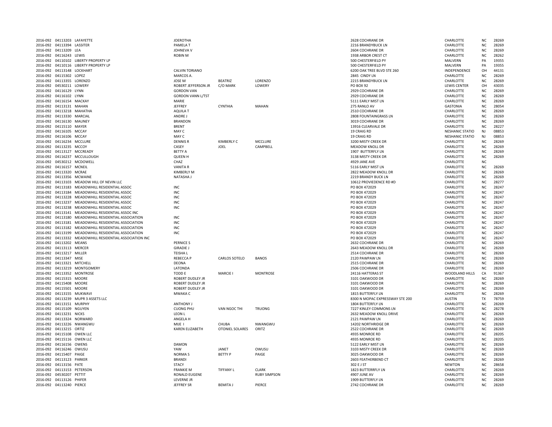|                      | 2016-092 04113203 LAFAYETTE                          |                                                                                | <b>JOEROTHA</b>                          |                        |                     | 2628 COCHRANE DR                                     | CHARLOTTE                        | N <sub>C</sub>         | 28269          |
|----------------------|------------------------------------------------------|--------------------------------------------------------------------------------|------------------------------------------|------------------------|---------------------|------------------------------------------------------|----------------------------------|------------------------|----------------|
|                      | 2016-092 04113394 LASSITER                           |                                                                                | PAMELA T                                 |                        |                     | 2216 BRANDYBUCK LN                                   | CHARLOTTE                        | <b>NC</b>              | 28269          |
| 2016-092             | 04113209                                             | LEA                                                                            | JOHNEVA V                                |                        |                     | 2604 COCHRANE DR                                     | CHARLOTTE                        | <b>NC</b>              | 28269          |
| 2016-092             | 04116243 LEWIS                                       |                                                                                | <b>ROBIN M</b>                           |                        |                     | 1938 ARBOR CREST CT                                  | CHARLOTTE                        | <b>NC</b>              | 28262          |
|                      |                                                      | 2016-092 04110102 LIBERTY PROPERTY LP                                          |                                          |                        |                     | 500 CHESTERFIELD PY                                  | MALVERN                          | PA                     | 19355          |
|                      |                                                      | 2016-092 04110116 LIBERTY PROPERTY LP                                          |                                          |                        |                     | 500 CHESTERFIELD PY                                  | MALVERN                          | PA                     | 19355          |
|                      | 2016-092 04113148 LOCKHART                           |                                                                                | <b>CALVIN TORIANO</b>                    |                        |                     | 6200 OAK TREE BLVD STE 260                           | INDEPENDENCE                     | OH                     | 44131          |
|                      | 2016-092 04115302 LOPEZ                              |                                                                                | MARCOS A.                                |                        |                     | 2845 CINDY LN                                        | CHARLOTTE                        | <b>NC</b>              | 28269          |
| 2016-092             | 04113355                                             | LORENZO                                                                        | <b>JOSE M</b>                            | <b>BEATRIZ</b>         | LORENZO             | 2215 BRANDYBUCK LN                                   | CHARLOTTE                        | <b>NC</b>              | 28269          |
|                      | 2016-092 04530211 LOWERY<br>2016-092 04116129 LYNN   |                                                                                | ROBERT JEFFERSON JR<br><b>GORDON VAN</b> | C/O MARK               | LOWERY              | <b>PO BOX 92</b><br>2929 COCHRANE DR                 | <b>LEWIS CENTER</b><br>CHARLOTTE | OH<br><b>NC</b>        | 43035<br>28269 |
|                      | 2016-092 04116102 LYNN                               |                                                                                | <b>GORDON VANN L/TST</b>                 |                        |                     | 2929 COCHRANE DR                                     | CHARLOTTE                        | <b>NC</b>              | 28269          |
|                      | 2016-092 04116154 MACKAY                             |                                                                                | MARIE                                    |                        |                     | 5111 EARLY MIST LN                                   | CHARLOTTE                        | <b>NC</b>              | 28269          |
|                      | 2016-092 04113131 MAHAN                              |                                                                                | JEFFREY                                  | <b>CYNTHIA</b>         | MAHAN               | 275 RANLO AV                                         | <b>GASTONIA</b>                  | <b>NC</b>              | 28054          |
| 2016-092             | 04113218 MAHATHA                                     |                                                                                | AQUILA T                                 |                        |                     | 2510 COCHRANE DR                                     | CHARLOTTE                        | <b>NC</b>              | 28269          |
| 2016-092             | 04113330                                             | <b>MARCIAL</b>                                                                 | ANDRE J                                  |                        |                     | 2808 FOUNTAINGRASS LN                                | CHARLOTTE                        | <b>NC</b>              | 28269          |
|                      | 2016-092 04116130 MAUNEY                             |                                                                                | <b>BRANDON</b>                           |                        |                     | 3019 COCHRANE DR                                     | CHARLOTTE                        | <b>NC</b>              | 28269          |
|                      | 2016-092 04115110 MAYER                              |                                                                                | <b>BRENT</b>                             |                        |                     | 13916 CLEARVALE DR                                   | CHARLOTTE                        | <b>NC</b>              | 28227          |
|                      | 2016-092 04116105 MCCAY                              |                                                                                | MAY C                                    |                        |                     | 19 CRAIG RD                                          | <b>NESHANIC STATIO</b>           | NJ                     | 08853          |
|                      | 2016-092 04116106 MCCAY                              |                                                                                | MAY C                                    |                        |                     | 19 CRAIG RD                                          | <b>NESHANIC STATIO</b>           | <b>NJ</b>              | 08853          |
| 2016-092             | 04116234 MCCLURE                                     |                                                                                | <b>DENNIS R</b>                          | <b>KIMBERLY C</b>      | MCCLURE             | 3200 MISTY CREEK DR                                  | CHARLOTTE                        | N <sub>C</sub>         | 28269          |
|                      | 2016-092 04113235 MCCOY                              |                                                                                | CASEY                                    | JOEL                   | CAMPBELL            | <b>MEADOW KNOLL DR</b>                               | CHARLOTTE                        | <b>NC</b>              | 28269          |
|                      |                                                      | 2016-092 04113127 MCCREADY                                                     | <b>BETTY A</b>                           |                        |                     | 1907 BUTTERFLY LN                                    | CHARLOTTE                        | <b>NC</b>              | 28269          |
|                      |                                                      | 2016-092 04116237 MCCULLOUGH                                                   | <b>QUEEN H</b>                           |                        |                     | 3138 MISTY CREEK DR                                  | CHARLOTTE                        | <b>NC</b>              | 28269          |
|                      |                                                      | 2016-092 04530212 MCDOWELL                                                     | CHAZ                                     |                        |                     | 4929 JANE AVE                                        | CHARLOTTE                        | <b>NC</b>              |                |
|                      | 2016-092 04116157 MCNEIL                             |                                                                                | <b>VANITA R</b>                          |                        |                     | 5116 EARLY MIST LN                                   | CHARLOTTE                        | <b>NC</b>              | 28269          |
| 2016-092             | 04113320                                             | <b>MCRAE</b>                                                                   | <b>KIMBERLY M</b>                        |                        |                     | 2822 MEADOW KNOLL DR                                 | CHARLOTTE                        | <b>NC</b>              | 28269          |
| 2016-092             | 04113356 MCWAINE                                     |                                                                                | NATASHA J                                |                        |                     | 2219 BRANDY BUCK LN                                  | CHARLOTTE                        | <b>NC</b>              | 28269          |
|                      |                                                      | 2016-092 04113103 MEADOW HILL OF NEVIN LLC                                     |                                          |                        |                     | 10612 PROVIEDENCE RD #D                              | CHARLOTTE                        | <b>NC</b>              | 28277          |
|                      |                                                      | 2016-092 04113183 MEADOWHILL RESIDENTIAL ASSOC                                 | INC                                      |                        |                     | PO BOX 472029                                        | CHARLOTTE                        | <b>NC</b>              | 28247          |
|                      |                                                      | 2016-092 04113184 MEADOWHILL RESIDENTIAL ASSOC                                 | INC                                      |                        |                     | PO BOX 472029                                        | CHARLOTTE                        | <b>NC</b>              | 28247          |
|                      |                                                      | 2016-092 04113228 MEADOWHILL RESIDENTIAL ASSOC                                 | INC                                      |                        |                     | PO BOX 472029                                        | CHARLOTTE                        | <b>NC</b>              | 28247          |
| 2016-092<br>2016-092 |                                                      | 04113237 MEADOWHILL RESIDENTIAL ASSOC<br>04113238 MEADOWHILL RESIDENTIAL ASSOC | INC<br>INC                               |                        |                     | PO BOX 472029<br>PO BOX 472029                       | CHARLOTTE<br>CHARLOTTE           | <b>NC</b><br><b>NC</b> | 28247<br>28247 |
|                      |                                                      | 2016-092 04113141 MEADOWHILL RESIDENTIAL ASSOC INC                             |                                          |                        |                     | PO BOX 472029                                        | CHARLOTTE                        | <b>NC</b>              | 28247          |
|                      |                                                      | 2016-092 04113180 MEADOWHILL RESIDENTIAL ASSOCIATION                           | INC                                      |                        |                     | PO BOX 472029                                        | CHARLOTTE                        | <b>NC</b>              | 28247          |
|                      |                                                      | 2016-092 04113181 MEADOWHILL RESIDENTIAL ASSOCIATION                           | INC                                      |                        |                     | PO BOX 472029                                        | CHARLOTTE                        | <b>NC</b>              | 28247          |
|                      |                                                      | 2016-092 04113182 MEADOWHILL RESIDENTIAL ASSOCIATION                           | INC                                      |                        |                     | PO BOX 472029                                        | CHARLOTTE                        | <b>NC</b>              | 28247          |
| 2016-092             | 04113199                                             | MEADOWHILL RESIDENTIAL ASSOCIATION                                             | INC                                      |                        |                     | PO BOX 472029                                        | CHARLOTTE                        | <b>NC</b>              | 28247          |
| 2016-092             |                                                      | 04113332 MEADOWHILL RESIDENTIAL ASSOCIATION INC                                |                                          |                        |                     | PO BOX 472029                                        | CHARLOTTE                        | N <sub>C</sub>         | 28247          |
|                      | 2016-092 04113202 MEANS                              |                                                                                | <b>PERNICE S</b>                         |                        |                     | 2632 COCHRANE DR                                     | CHARLOTTE                        | <b>NC</b>              | 28269          |
|                      | 2016-092 04113113 MERCER                             |                                                                                | <b>GIRADIE J</b>                         |                        |                     | 2643 MEADOW KNOLL DR                                 | CHARLOTTE                        | N <sub>C</sub>         | 28269          |
|                      | 2016-092 04113217 MILLER                             |                                                                                | <b>TEISHAL</b>                           |                        |                     | 2514 COCHRANE DR                                     | CHARLOTTE                        | NC                     | 28269          |
|                      | 2016-092 04113347 MISE                               |                                                                                | <b>REBECCA P</b>                         | <b>CARLOS SOTELO</b>   | <b>BANOS</b>        | 2120 PAWPAW LN                                       | CHARLOTTE                        | <b>NC</b>              | 28269          |
|                      | 2016-092 04113321 MITCHELL                           |                                                                                | <b>DEONA</b>                             |                        |                     | 2515 COCHRANE DR                                     | CHARLOTTE                        | N <sub>C</sub>         | 28269          |
| 2016-092             |                                                      | 04113219 MONTGOMERY                                                            | LATONDA                                  |                        |                     | 2506 COCHRANE DR                                     | CHARLOTTE                        | <b>NC</b>              | 28269          |
|                      |                                                      | 2016-092 04113352 MONTROSE                                                     | TODD E                                   | <b>MARCIE I</b>        | <b>MONTROSE</b>     | 24116 HATTERAS ST                                    | WOODLAND HILLS                   | CA                     | 91367          |
|                      | 2016-092 04115315 MOORE                              |                                                                                | <b>ROBERT DUDLEY JR</b>                  |                        |                     | 3101 OAKWOOD DR                                      | CHARLOTTE                        | <b>NC</b>              | 28269          |
|                      | 2016-092 04115408 MOORE                              |                                                                                | <b>ROBERT DUDLEY JR</b>                  |                        |                     | 3101 OAKWOOD DR                                      | CHARLOTTE                        | <b>NC</b>              | 28269          |
|                      | 2016-092 04115501 MOORE                              |                                                                                | <b>ROBERT DUDLEY JR</b>                  |                        |                     | 3101 OAKWOOD DR                                      | CHARLOTTE                        | <b>NC</b>              | 28269          |
|                      | 2016-092 04113155 MUKWAVI                            |                                                                                | <b>MWAKA C</b>                           |                        |                     | 1815 BUTTERFLY LN                                    | CHARLOTTE                        | <b>NC</b>              | 28269          |
| 2016-092             |                                                      | 04113239 MUPR 3 ASSETS LLC                                                     |                                          |                        |                     | 8300 N MOPAC EXPRESSWAY STE 200<br>1804 BUTTERFLY LN | <b>AUSTIN</b>                    | TX<br>N <sub>C</sub>   | 78759<br>28269 |
|                      | 2016-092 04113151 MURPHY<br>2016-092 04115109 NGUYEN |                                                                                | <b>ANTHONY J</b><br><b>CUONG PHU</b>     |                        | <b>TRUONG</b>       | 7227 KINLEY COMMONS LN                               | CHARLOTTE<br>CHARLOTTE           | <b>NC</b>              | 28278          |
|                      | 2016-092 04113231 NICKS                              |                                                                                | <b>LEON L</b>                            | <b>VAN NGOC THI</b>    |                     | 2632 MEADOW KNOLL DRIVE                              | CHARLOTTE                        | <b>NC</b>              | 28269          |
|                      | 2016-092 04113324 NORWARD                            |                                                                                | ANGELA H                                 |                        |                     | 2121 PAWPAW LN                                       | CHARLOTTE                        | <b>NC</b>              | 28269          |
|                      |                                                      | 2016-092 04113226 NWANGWU                                                      | MIJE I                                   | CHUBA                  | NWANGWU             | 14202 NORTHRIDGE DR                                  | CHARLOTTE                        | <b>NC</b>              | 28269          |
|                      | 2016-092 04113215 ORTIZ                              |                                                                                | <b>KAREN ELIZABETH</b>                   | <b>OTONIEL SOLARES</b> | ORITZ               | 2522 COCHRANE DR                                     | CHARLOTTE                        | <b>NC</b>              | 28269          |
|                      | 2016-092 04115108 OWEN LLC                           |                                                                                |                                          |                        |                     | 4935 MONROE RD                                       | CHARLOTTE                        | <b>NC</b>              | 28205          |
|                      | 2016-092 04115116 OWEN LLC                           |                                                                                |                                          |                        |                     | 4935 MONROF RD                                       | CHARLOTTE                        | <b>NC</b>              | 28205          |
|                      | 2016-092 04116156 OWENS                              |                                                                                | <b>DAMON</b>                             |                        |                     | 5122 EARLY MIST LN                                   | CHARLOTTE                        | N <sub>C</sub>         | 28269          |
|                      | 2016-092 04116246 OWUSU                              |                                                                                | YAW                                      | JANET                  | owusu               | 3103 MISTY CREEK DF                                  | CHARLOTTE                        | <b>NC</b>              | 28269          |
|                      | 2016-092 04115407 PAIGE                              |                                                                                | <b>NORMAS</b>                            | <b>BETTY P</b>         | PAIGE               | 3025 OAKWOOD DR                                      | CHARLOTTE                        | <b>NC</b>              | 28269          |
| 2016-092             | 04113123                                             | PARKER                                                                         | <b>BRANDI</b>                            |                        |                     | 2603 FEATHERBEND CT                                  | CHARLOTTE                        | N <sub>C</sub>         | 28269          |
| 2016-092             | 04113156 PATE                                        |                                                                                | <b>STACY</b>                             |                        |                     | 302 E J ST                                           | <b>NEWTON</b>                    | N <sub>C</sub>         | 28658          |
| 2016-092             | 04113153 PETERSON                                    |                                                                                | <b>FRANKIE M</b>                         | <b>TIFFANY L</b>       | <b>CLARK</b>        | 1823 BUTTERRFLY LN                                   | CHARLOTTE                        | <b>NC</b>              | 28269          |
| 2016-092             | 04530207 PETTIT                                      |                                                                                | RONALD EUGENE                            |                        | <b>RUBY SIMPSON</b> | <b>4907 JUNE AV</b>                                  | CHARLOTTE                        | <b>NC</b>              | 28269          |
|                      | 2016-092 04113126 PHIFER                             |                                                                                | LEVERNE JR                               |                        |                     | 1909 BUTTERFLY LN                                    | CHARLOTTE                        | <b>NC</b>              | 28269          |
|                      | 2016-092 04113240 PIERCE                             |                                                                                | <b>JEFFREY SR</b>                        | <b>BEMITA J</b>        | PIERCE              | 2742 COCHRANE DR                                     | CHARLOTTE                        | <b>NC</b>              | 28269          |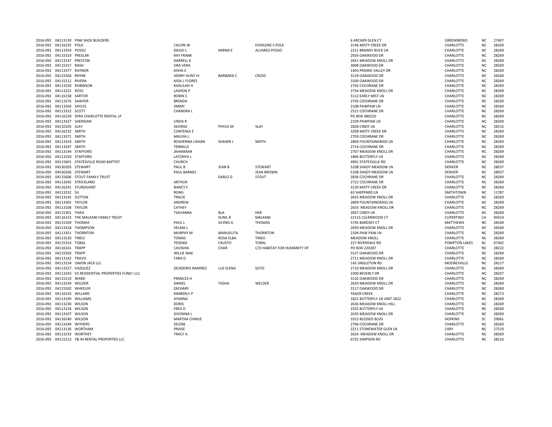|          |                            | 2016-092 04113139 PINK SHOE BUILDERS                   |                          |                  |                             | <b>6 ARCHER GLEN CT</b>      | GREENSBORO       | NC        | 27407 |
|----------|----------------------------|--------------------------------------------------------|--------------------------|------------------|-----------------------------|------------------------------|------------------|-----------|-------|
|          | 2016-092 04116235 POLK     |                                                        | <b>CALVIN W</b>          |                  | <b>EVERLENE S POLK</b>      | 3146 MISTY CREEK DR          | CHARLOTTE        | <b>NC</b> | 28269 |
|          | 2016-092 04113354          | POSSO                                                  | DIEGO L                  | <b>MIRNAE</b>    | ALVAREZ-POSSO               | 2211 BRANDY BUCK LN          | CHARLOTTE        | <b>NC</b> | 28269 |
|          | 2016-092 04115319 PRESLAR  |                                                        | <b>RAY FRANK</b>         |                  |                             | 2926 OAKWOOD DR              | CHARLOTTE        | <b>NC</b> | 28269 |
|          | 2016-092 04113147 PRESTON  |                                                        | <b>DARRELLK</b>          |                  |                             | 2651 MEADOW KNOLL DR         | CHARLOTTE        | <b>NC</b> | 28269 |
|          | 2016-092 04115317 RASH     |                                                        | ORA VERA                 |                  |                             | 3008 OAKWOOD DR              | CHARLOTTE        | <b>NC</b> | 28269 |
|          | 2016-092 04113377 RAYNOR   |                                                        | <b>KISHA E</b>           |                  |                             | 1403 PRAIRIE VALLEY DR       | CHARLOTTE        | <b>NC</b> | 28269 |
|          | 2016-092 04115504 RHYNE    |                                                        | <b>HENRY HUNT IV</b>     | <b>BARBARA C</b> | <b>CROSS</b>                | 3129 OAKWOOD DR              | CHARLOTTE        | <b>NC</b> | 28269 |
|          | 2016-092 04115212 RIVERA   |                                                        | AIDA L FLORES            |                  |                             | 3100 OAKWOOD DR              | CHARLOTTE        | <b>NC</b> | 28269 |
|          | 2016-092 04113250 ROBINSON |                                                        | KHALILAH H               |                  |                             | 2702 COCHRANE DR             | CHARLOTTE        | <b>NC</b> | 28269 |
|          | 2016-092 04113221 ROSS     |                                                        | <b>LASHON P</b>          |                  |                             | 2734 MEAODW KNOLL DR         | CHARLOTTE        | <b>NC</b> | 28269 |
|          |                            |                                                        |                          |                  |                             |                              |                  |           |       |
|          | 2016-092 04116158 SARTOR   |                                                        | <b>ROBIN C</b>           |                  |                             | 5112 EARLY MIST LN           | CHARLOTTE        | <b>NC</b> | 28269 |
|          | 2016-092 04113376 SAWYER   |                                                        | <b>BRENDA</b>            |                  |                             | 2745 COCHRANE DR             | CHARLOTTE        | <b>NC</b> | 28269 |
|          | 2016-092 04113350 SAYLES   |                                                        | <b>JIMMY</b>             |                  |                             | 2108 PAWPAW LN               | CHARLOTTE        | <b>NC</b> | 28269 |
|          | 2016-092 04113322 SCOTT    |                                                        | <b>CHANDRA L</b>         |                  |                             | 2521 COCHRANE DR             | CHARLOTTE        | <b>NC</b> | 28269 |
|          |                            | 2016-092 04116239 SFRH CHARLOTTE RENTAL LP             |                          |                  |                             | PO BOX 480220                | CHARLOTTE        | <b>NC</b> | 28269 |
|          | 2016-092 04113327 SHERIDAN |                                                        | <b>LINDAR</b>            |                  |                             | 2109 PAWPAW LN               | CHARLOTTE        | <b>NC</b> | 28269 |
| 2016-092 | 04110105 SLAY              |                                                        | <b>GEORGE</b>            | PHYLIS M         | SLAY                        | 2828 CINDY LN                | CHARLOTTE        | <b>NC</b> | 28216 |
|          | 2016-092 04116232 SMITH    |                                                        | <b>CONTENIA E</b>        |                  |                             | 3208 MISTY CREEK DR          | CHARLOTTE        | <b>NC</b> | 28269 |
| 2016-092 | 04113371 SMITH             |                                                        | MALVIA L                 |                  |                             | 2703 COCHRANE DR             | CHARLOTTE        | <b>NC</b> | 28269 |
|          | 2016-092 04113329 SMITH    |                                                        | ROSHENNA LISHAN          | SHAWN L          | SMITH                       | 2804 FOUNTAINGRASS LN        | CHARLOTTE        | <b>NC</b> | 28269 |
|          | 2016-092 04113247 SMITH    |                                                        | <b>TENNILLE</b>          |                  |                             | 2714 COCHRANE DR             | CHARLOTTE        | NC        | 28269 |
|          | 2016-092 04113144 STAFFORD |                                                        | <b>JAHAMAAR</b>          |                  |                             | 2707 MEADOW KNOLL DR         | CHARLOTTE        | <b>NC</b> | 28269 |
| 2016-092 | 04113150 STAFFORD          |                                                        | <b>LATONYAL</b>          |                  |                             | 1806 BUTTERFLY LN            | CHARLOTTE        | <b>NC</b> | 28269 |
|          |                            | 2016-092 04115601 STATESVILLE ROAD BAPTIST             | <b>CHURCH</b>            |                  |                             | 4901 STATESVILLE RD          | CHARLOTTE        | <b>NC</b> | 28269 |
|          | 2016-092 04530205 STEWART  |                                                        | PAUL B                   | <b>JEAN B</b>    | <b>STEWART</b>              | 5108 SHADY MEADOW LN         | <b>DENVER</b>    | <b>NC</b> | 28037 |
|          |                            |                                                        | <b>PAUL BARNES</b>       |                  | <b>JEAN BROWN</b>           | 5108 SHADY MEADOW LN         |                  |           | 28037 |
|          | 2016-092 04530206 STEWART  |                                                        |                          |                  |                             |                              | <b>DENVER</b>    | <b>NC</b> |       |
| 2016-092 |                            | 04115606 STOUT FAMILY TRUST                            |                          | <b>EARLOD</b>    | <b>STOUT</b>                | 2836 COCHRANE DR             | CHARLOTTE        | <b>NC</b> | 28269 |
|          |                            | 2016-092 04113245 STRICKLAND                           | <b>ARTHUR</b>            |                  |                             | 2722 COCHRANE DR             | CHARLOTTE        | <b>NC</b> | 28269 |
|          |                            | 2016-092 04116241 STURDIVANT                           | <b>NANCY F</b>           |                  |                             | 3120 MISTY CREEK DR          | CHARLOTTE        | <b>NC</b> | 28269 |
|          | 2016-092 04113232 SU       |                                                        | RONG                     |                  |                             | <b>63 SHEPPARD LN</b>        | <b>SMITHTOWN</b> | <b>NC</b> | 11787 |
|          | 2016-092 04113145 SUTTON   |                                                        | TRACIE                   |                  |                             | 2655 MEADOW KNOLL DR         | CHARLOTTE        | <b>NC</b> | 28269 |
|          | 2016-092 04113302 TAYLOR   |                                                        | ANDREW                   |                  |                             | <b>2809 FOUNTAINGRASS LN</b> | CHARLOTTE        | <b>NC</b> | 28269 |
|          | 2016-092 04113108 TAYLOR   |                                                        | CATHEY                   |                  |                             | 2633 MEADOW KNOLL DR         | CHARLOTTE        | <b>NC</b> | 28269 |
|          | 2016-092 04115301 THAO     |                                                        | <b>TSAVANNA</b>          | <b>BLA</b>       | HER                         | 2837 CINDY LN                | CHARLOTTE        | <b>NC</b> | 28269 |
|          |                            | 2016-092 04116153 THE MALKANI FAMILY TRUST             |                          | <b>SUNIL R</b>   | MALKANI                     | 22115 CLEARWOOD CT           | <b>CUPERTINO</b> | CA        | 95014 |
|          | 2016-092 04115209 THOMAS   |                                                        | PAUL L                   | <b>GLYNIS A</b>  | <b>THOMAS</b>               | 5745 BARDSEY CT              | MATTHEWS         | <b>NC</b> | 28104 |
|          |                            | 2016-092 04113318 THOMPSON                             | <b>VELMAL</b>            |                  |                             | 2830 MEADOW KNOLL DR         | CHARLOTTE        | <b>NC</b> | 28269 |
|          | 2016-092 04113351          | <b>THORNTON</b>                                        | <b>MURPHY M</b>          | MANUELITA        | <b>THORNTON</b>             | 2104 PAW PAW LN              | CHARLOTTE        | <b>NC</b> | 28269 |
|          | 2016-092 04113220 TINEO    |                                                        | <b>TOMAS</b>             | ROSA ELBA        | TINEO                       | <b>MEADOW KNOLL</b>          | CHARLOTTE        | NC        | 28269 |
|          | 2016-092 04115314          | TOBAL                                                  | YESENIA                  | <b>FAUSTO</b>    | <b>TOBAL</b>                | 227 RIVERDALE RD             | POMPTON LAKES    | NJ        | 07442 |
|          |                            |                                                        |                          |                  |                             |                              |                  |           | 28222 |
|          | 2016-092 04116161          | TRAPP                                                  | <b>CAVISHIA</b>          | CHAR             | C/O HABITAT FOR HUMANITY OF | PO BOX 220287                | CHARLOTTE        | <b>NC</b> |       |
|          | 2016-092 04115503          | <b>TRAPP</b>                                           | <b>WILLIE MAE</b>        |                  |                             | 3127 OAKWOOD DR              | CHARLOTTE        | <b>NC</b> | 28269 |
|          | 2016-092 04113142 TRAVIS   |                                                        | <b>TARAD</b>             |                  |                             | 2711 MEADOW KNOLL DR         | CHARLOTTE        | <b>NC</b> | 28269 |
|          |                            | 2016-092 04113154 UNION JACK LLC                       |                          |                  |                             | <b>145 SINGLETON RD</b>      | MOORESVILLE      | <b>NC</b> | 28117 |
|          | 2016-092 04113227 VAZQUEZ  |                                                        | <b>DESIDERIO RAMIREZ</b> | LUZ ELENA        | SOTO                        | 2710 MEADOW KNOLL DR         | CHARLOTTE        | <b>NC</b> | 28269 |
|          |                            | 2016-092 04113243 VS RESIDENTIAL PROPERTIES FUND I LLC |                          |                  |                             | 2300 BEVERLY DR              | CHARLOTTE        | <b>NC</b> | 28207 |
|          | 2016-092 04115210 WARD     |                                                        | <b>FRANCES H</b>         |                  |                             | 3132 OAKWOOD DR              | CHARLOTTE        | <b>NC</b> | 28269 |
|          | 2016-092 04113234 WELDER   |                                                        | DANIEL                   | <b>TASHA</b>     | WELDER                      | 2620 MEADOW KNOLL DR         | CHARLOTTE        | <b>NC</b> | 28269 |
|          | 2016-092 04115502          | WHEELER                                                | ZACHARY                  |                  |                             | 3117 OAKWOOD DR              | CHARLOTTE        | <b>NC</b> | 28269 |
|          | 2016-092 04116233 WILLARD  |                                                        | <b>KIMBERLY P</b>        |                  |                             | YAGER CREEK                  | CHARLOTTE        | <b>NC</b> | 28273 |
|          | 2016-092 04113109 WILLIAMS |                                                        | AYANNA                   |                  |                             | 1822 BUTTERFLY LN UNIT 1822  | CHARLOTTE        | <b>NC</b> | 28269 |
|          | 2016-092 04113230 WILSON   |                                                        | <b>DORIS</b>             |                  |                             | 2636 MEADOW KNOLL HILL       | CHARLOTTE        | <b>NC</b> | 28269 |
|          | 2016-092 04113134 WILSON   |                                                        | <b>FRED D</b>            |                  |                             | 1925 BUTTERFLY LN            | CHARLOTTE        | <b>NC</b> | 28269 |
|          | 2016-092 04113107 WILSON   |                                                        | <b>GIVONNA L</b>         |                  |                             | 2635 MEADOW KNOLL DR         | CHARLOTTE        | <b>NC</b> | 28269 |
|          | 2016-092 04116240 WILSON   |                                                        | <b>MARTHA CHINUE</b>     |                  |                             | 1015 BLESSED BLVD            | <b>HOPKINS</b>   | SC        | 29061 |
|          |                            |                                                        |                          |                  |                             |                              |                  |           |       |
|          | 2016-092 04113249          | <b>WITHERS</b>                                         | SELENE                   |                  |                             | 2706 COCHRANE DR             | CHARLOTTE        | <b>NC</b> | 28269 |
|          | 2016-092 04113136 WORTHAM  |                                                        | PRAISE                   |                  |                             | 2211 STONEWATER GLEN LN      | CARY             | <b>NC</b> | 27519 |
|          | 2016-092 04113233 WORTHEY  |                                                        | <b>TRACY A</b>           |                  |                             | 2624 MEADOW KNOLL DR         | <b>CHARLOTTE</b> | <b>NC</b> | 28269 |
|          |                            | 2016-092 04115213 Y& M RENTAL PROPERTIES LLC           |                          |                  |                             | 6725 SIMPSON RD              | CHARLOTTE        | <b>NC</b> | 28216 |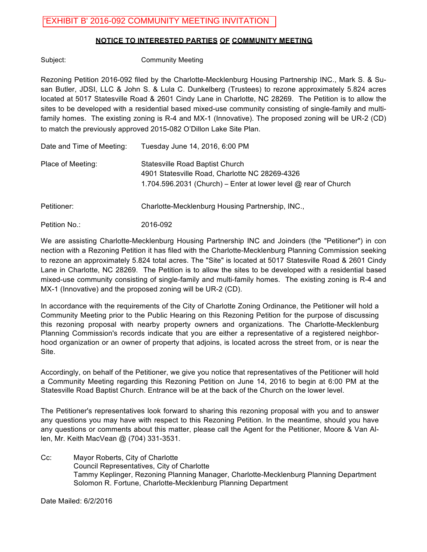### **NOTICE TO INTERESTED PARTIES OF COMMUNITY MEETING**

Subject: Community Meeting

Rezoning Petition 2016-092 filed by the Charlotte-Mecklenburg Housing Partnership INC., Mark S. & Susan Butler, JDSI, LLC & John S. & Lula C. Dunkelberg (Trustees) to rezone approximately 5.824 acres located at 5017 Statesville Road & 2601 Cindy Lane in Charlotte, NC 28269. The Petition is to allow the sites to be developed with a residential based mixed-use community consisting of single-family and multifamily homes. The existing zoning is R-4 and MX-1 (Innovative). The proposed zoning will be UR-2 (CD) to match the previously approved 2015-082 O'Dillon Lake Site Plan.

| Date and Time of Meeting: | Tuesday June 14, 2016, 6:00 PM                                                                                                                                |
|---------------------------|---------------------------------------------------------------------------------------------------------------------------------------------------------------|
| Place of Meeting:         | <b>Statesville Road Baptist Church</b><br>4901 Statesville Road, Charlotte NC 28269-4326<br>1.704.596.2031 (Church) – Enter at lower level $@$ rear of Church |
| Petitioner:               | Charlotte-Mecklenburg Housing Partnership, INC.,                                                                                                              |
| Petition No.:             | 2016-092                                                                                                                                                      |

We are assisting Charlotte-Mecklenburg Housing Partnership INC and Joinders (the "Petitioner") in con nection with a Rezoning Petition it has filed with the Charlotte-Mecklenburg Planning Commission seeking to rezone an approximately 5.824 total acres. The "Site" is located at 5017 Statesville Road & 2601 Cindy Lane in Charlotte, NC 28269. The Petition is to allow the sites to be developed with a residential based mixed-use community consisting of single-family and multi-family homes. The existing zoning is R-4 and MX-1 (Innovative) and the proposed zoning will be UR-2 (CD).

In accordance with the requirements of the City of Charlotte Zoning Ordinance, the Petitioner will hold a Community Meeting prior to the Public Hearing on this Rezoning Petition for the purpose of discussing this rezoning proposal with nearby property owners and organizations. The Charlotte-Mecklenburg Planning Commission's records indicate that you are either a representative of a registered neighborhood organization or an owner of property that adjoins, is located across the street from, or is near the Site.

Accordingly, on behalf of the Petitioner, we give you notice that representatives of the Petitioner will hold a Community Meeting regarding this Rezoning Petition on June 14, 2016 to begin at 6:00 PM at the Statesville Road Baptist Church. Entrance will be at the back of the Church on the lower level.

The Petitioner's representatives look forward to sharing this rezoning proposal with you and to answer any questions you may have with respect to this Rezoning Petition. In the meantime, should you have any questions or comments about this matter, please call the Agent for the Petitioner, Moore & Van Allen, Mr. Keith MacVean @ (704) 331-3531.

Cc: Mayor Roberts, City of Charlotte Council Representatives, City of Charlotte Tammy Keplinger, Rezoning Planning Manager, Charlotte-Mecklenburg Planning Department Solomon R. Fortune, Charlotte-Mecklenburg Planning Department

Date Mailed: 6/2/2016